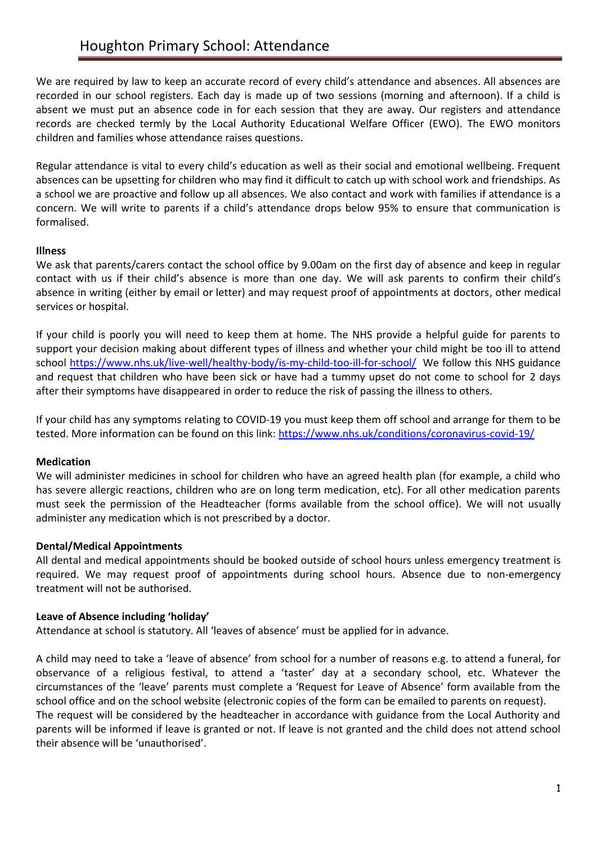We are required by law to keep an accurate record of every child's attendance and absences. All absences are recorded in our school registers. Each day is made up of two sessions (morning and afternoon). If a child is absent we must put an absence code in for each session that they are away. Our registers and attendance records are checked termly by the Local Authority Educational Welfare Officer (EWO). The EWO monitors children and families whose attendance raises questions.

Regular attendance is vital to every child's education as well as their social and emotional wellbeing. Frequent absences can be upsetting for children who may find it difficult to catch up with school work and friendships. As a school we are proactive and follow up all absences. We also contact and work with families if attendance is a concern. We will write to parents if a child's attendance drops below 95% to ensure that communication is formalised.

### **Illness**

We ask that parents/carers contact the school office by 9.00am on the first day of absence and keep in regular contact with us if their child's absence is more than one day. We will ask parents to confirm their child's absence in writing (either by email or letter) and may request proof of appointments at doctors, other medical services or hospital.

If your child is poorly you will need to keep them at home. The NHS provide a helpful guide for parents to support your decision making about different types of illness and whether your child might be too ill to attend school<https://www.nhs.uk/live-well/healthy-body/is-my-child-too-ill-for-school/>We follow this NHS guidance and request that children who have been sick or have had a tummy upset do not come to school for 2 days after their symptoms have disappeared in order to reduce the risk of passing the illness to others.

If your child has any symptoms relating to COVID-19 you must keep them off school and arrange for them to be tested. More information can be found on this link:<https://www.nhs.uk/conditions/coronavirus-covid-19/>

#### **Medication**

We will administer medicines in school for children who have an agreed health plan (for example, a child who has severe allergic reactions, children who are on long term medication, etc). For all other medication parents must seek the permission of the Headteacher (forms available from the school office). We will not usually administer any medication which is not prescribed by a doctor.

#### **Dental/Medical Appointments**

All dental and medical appointments should be booked outside of school hours unless emergency treatment is required. We may request proof of appointments during school hours. Absence due to non-emergency treatment will not be authorised.

#### **Leave of Absence including 'holiday'**

Attendance at school is statutory. All 'leaves of absence' must be applied for in advance.

A child may need to take a 'leave of absence' from school for a number of reasons e.g. to attend a funeral, for observance of a religious festival, to attend a 'taster' day at a secondary school, etc. Whatever the circumstances of the 'leave' parents must complete a 'Request for Leave of Absence' form available from the school office and on the school website (electronic copies of the form can be emailed to parents on request). The request will be considered by the headteacher in accordance with guidance from the Local Authority and parents will be informed if leave is granted or not. If leave is not granted and the child does not attend school their absence will be 'unauthorised'.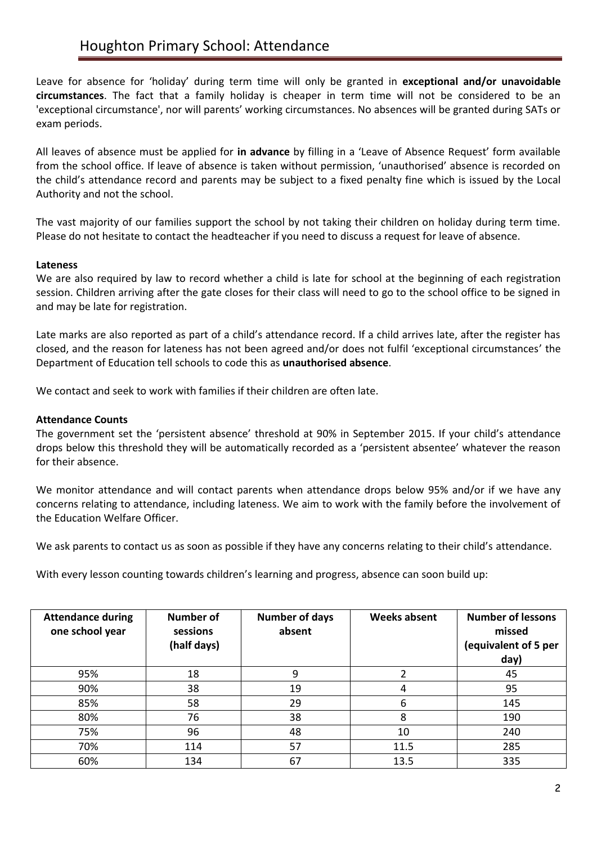Leave for absence for 'holiday' during term time will only be granted in **exceptional and/or unavoidable circumstances**. The fact that a family holiday is cheaper in term time will not be considered to be an 'exceptional circumstance', nor will parents' working circumstances. No absences will be granted during SATs or exam periods.

All leaves of absence must be applied for **in advance** by filling in a 'Leave of Absence Request' form available from the school office. If leave of absence is taken without permission, 'unauthorised' absence is recorded on the child's attendance record and parents may be subject to a fixed penalty fine which is issued by the Local Authority and not the school.

The vast majority of our families support the school by not taking their children on holiday during term time. Please do not hesitate to contact the headteacher if you need to discuss a request for leave of absence.

### **Lateness**

We are also required by law to record whether a child is late for school at the beginning of each registration session. Children arriving after the gate closes for their class will need to go to the school office to be signed in and may be late for registration.

Late marks are also reported as part of a child's attendance record. If a child arrives late, after the register has closed, and the reason for lateness has not been agreed and/or does not fulfil 'exceptional circumstances' the Department of Education tell schools to code this as **unauthorised absence**.

We contact and seek to work with families if their children are often late.

### **Attendance Counts**

The government set the 'persistent absence' threshold at 90% in September 2015. If your child's attendance drops below this threshold they will be automatically recorded as a 'persistent absentee' whatever the reason for their absence.

We monitor attendance and will contact parents when attendance drops below 95% and/or if we have any concerns relating to attendance, including lateness. We aim to work with the family before the involvement of the Education Welfare Officer.

We ask parents to contact us as soon as possible if they have any concerns relating to their child's attendance.

With every lesson counting towards children's learning and progress, absence can soon build up:

| <b>Attendance during</b><br>one school year | <b>Number of</b><br>sessions<br>(half days) | <b>Number of days</b><br>absent | <b>Weeks absent</b> | <b>Number of lessons</b><br>missed<br>(equivalent of 5 per<br>day) |
|---------------------------------------------|---------------------------------------------|---------------------------------|---------------------|--------------------------------------------------------------------|
| 95%                                         | 18                                          | 9                               |                     | 45                                                                 |
| 90%                                         | 38                                          | 19                              | 4                   | 95                                                                 |
| 85%                                         | 58                                          | 29                              | 6                   | 145                                                                |
| 80%                                         | 76                                          | 38                              | 8                   | 190                                                                |
| 75%                                         | 96                                          | 48                              | 10                  | 240                                                                |
| 70%                                         | 114                                         | 57                              | 11.5                | 285                                                                |
| 60%                                         | 134                                         | 67                              | 13.5                | 335                                                                |